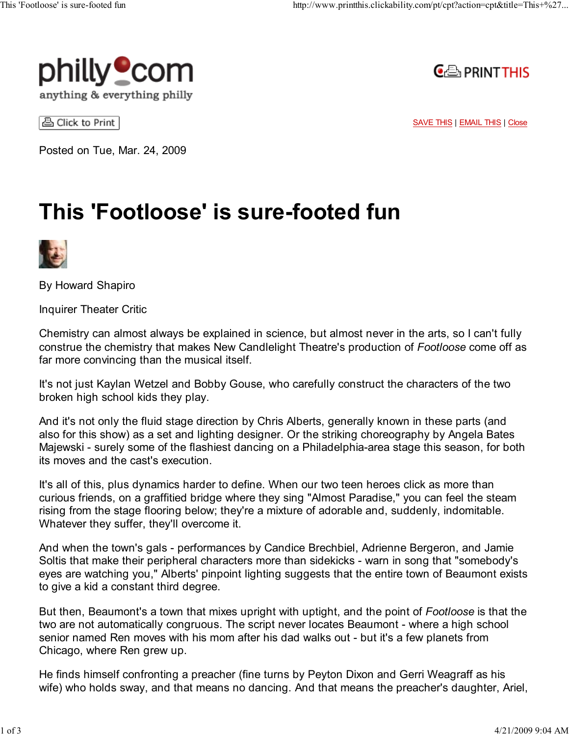



△ Click to Print

SAVE THIS | EMAIL THIS | Close

Posted on Tue, Mar. 24, 2009

## This 'Footloose' is sure-footed fun



By Howard Shapiro

Inquirer Theater Critic

Chemistry can almost always be explained in science, but almost never in the arts, so I can't fully construe the chemistry that makes New Candlelight Theatre's production of Footloose come off as far more convincing than the musical itself.

It's not just Kaylan Wetzel and Bobby Gouse, who carefully construct the characters of the two broken high school kids they play.

And it's not only the fluid stage direction by Chris Alberts, generally known in these parts (and also for this show) as a set and lighting designer. Or the striking choreography by Angela Bates Majewski - surely some of the flashiest dancing on a Philadelphia-area stage this season, for both its moves and the cast's execution.

It's all of this, plus dynamics harder to define. When our two teen heroes click as more than curious friends, on a graffitied bridge where they sing "Almost Paradise," you can feel the steam rising from the stage flooring below; they're a mixture of adorable and, suddenly, indomitable. Whatever they suffer, they'll overcome it.

And when the town's gals - performances by Candice Brechbiel, Adrienne Bergeron, and Jamie Soltis that make their peripheral characters more than sidekicks - warn in song that "somebody's eyes are watching you," Alberts' pinpoint lighting suggests that the entire town of Beaumont exists to give a kid a constant third degree.

But then, Beaumont's a town that mixes upright with uptight, and the point of Footloose is that the two are not automatically congruous. The script never locates Beaumont - where a high school senior named Ren moves with his mom after his dad walks out - but it's a few planets from Chicago, where Ren grew up.

He finds himself confronting a preacher (fine turns by Peyton Dixon and Gerri Weagraff as his wife) who holds sway, and that means no dancing. And that means the preacher's daughter, Ariel,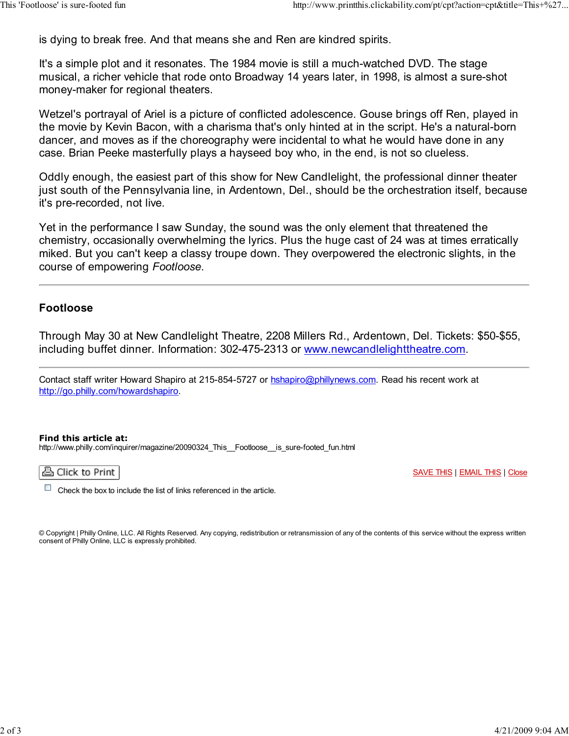is dying to break free. And that means she and Ren are kindred spirits.

It's a simple plot and it resonates. The 1984 movie is still a much-watched DVD. The stage musical, a richer vehicle that rode onto Broadway 14 years later, in 1998, is almost a sure-shot money-maker for regional theaters.

Wetzel's portrayal of Ariel is a picture of conflicted adolescence. Gouse brings off Ren, played in the movie by Kevin Bacon, with a charisma that's only hinted at in the script. He's a natural-born dancer, and moves as if the choreography were incidental to what he would have done in any case. Brian Peeke masterfully plays a hayseed boy who, in the end, is not so clueless.

Oddly enough, the easiest part of this show for New Candlelight, the professional dinner theater just south of the Pennsylvania line, in Ardentown, Del., should be the orchestration itself, because it's pre-recorded, not live.

Yet in the performance I saw Sunday, the sound was the only element that threatened the chemistry, occasionally overwhelming the lyrics. Plus the huge cast of 24 was at times erratically miked. But you can't keep a classy troupe down. They overpowered the electronic slights, in the course of empowering Footloose.

## Footloose

Through May 30 at New Candlelight Theatre, 2208 Millers Rd., Ardentown, Del. Tickets: \$50-\$55, including buffet dinner. Information: 302-475-2313 or www.newcandlelighttheatre.com.

Contact staff writer Howard Shapiro at 215-854-5727 or hshapiro@phillynews.com. Read his recent work at http://go.philly.com/howardshapiro.

## Find this article at:

http://www.philly.com/inquirer/magazine/20090324\_This\_\_Footloose\_\_is\_sure-footed\_fun.html

품 Click to Print

SAVE THIS | EMAIL THIS | Close

 $\mathcal{L}_{\mathcal{A}}$ Check the box to include the list of links referenced in the article.

© Copyright | Philly Online, LLC. All Rights Reserved. Any copying, redistribution or retransmission of any of the contents of this service without the express written consent of Philly Online, LLC is expressly prohibited.